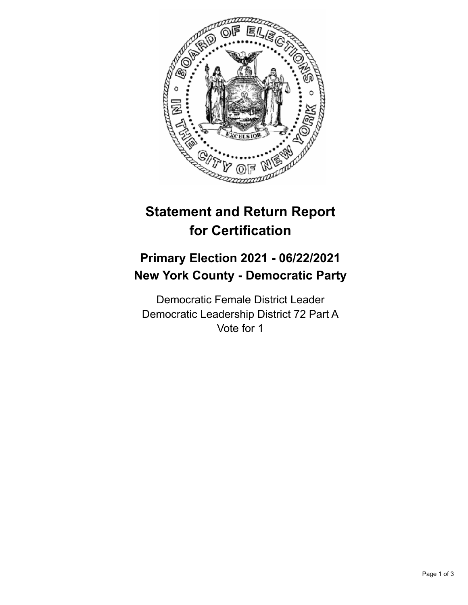

## **Statement and Return Report for Certification**

## **Primary Election 2021 - 06/22/2021 New York County - Democratic Party**

Democratic Female District Leader Democratic Leadership District 72 Part A Vote for 1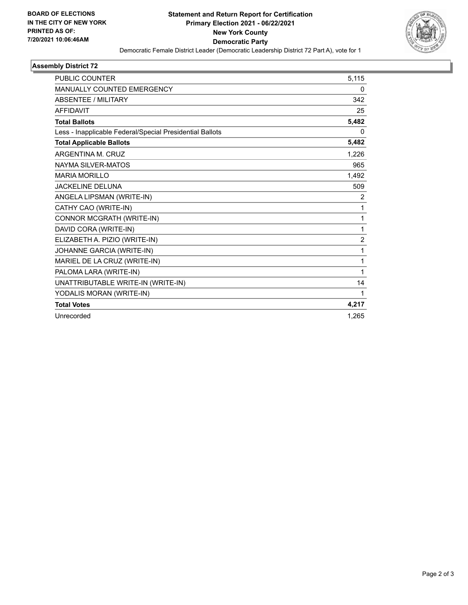

## **Assembly District 72**

| <b>PUBLIC COUNTER</b>                                    | 5,115          |
|----------------------------------------------------------|----------------|
| <b>MANUALLY COUNTED EMERGENCY</b>                        | 0              |
| ABSENTEE / MILITARY                                      | 342            |
| <b>AFFIDAVIT</b>                                         | 25             |
| <b>Total Ballots</b>                                     | 5,482          |
| Less - Inapplicable Federal/Special Presidential Ballots | 0              |
| <b>Total Applicable Ballots</b>                          | 5,482          |
| ARGENTINA M. CRUZ                                        | 1,226          |
| NAYMA SILVER-MATOS                                       | 965            |
| <b>MARIA MORILLO</b>                                     | 1,492          |
| <b>JACKELINE DELUNA</b>                                  | 509            |
| ANGELA LIPSMAN (WRITE-IN)                                | 2              |
| CATHY CAO (WRITE-IN)                                     | 1              |
| CONNOR MCGRATH (WRITE-IN)                                | 1              |
| DAVID CORA (WRITE-IN)                                    | 1              |
| ELIZABETH A. PIZIO (WRITE-IN)                            | $\overline{2}$ |
| JOHANNE GARCIA (WRITE-IN)                                | 1              |
| MARIEL DE LA CRUZ (WRITE-IN)                             | 1              |
| PALOMA LARA (WRITE-IN)                                   | 1              |
| UNATTRIBUTABLE WRITE-IN (WRITE-IN)                       | 14             |
| YODALIS MORAN (WRITE-IN)                                 | 1              |
| <b>Total Votes</b>                                       | 4,217          |
| Unrecorded                                               | 1,265          |